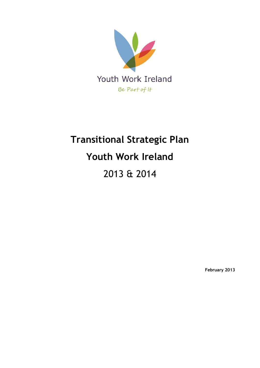

# **Transitional Strategic Plan Youth Work Ireland** 2013 & 2014

**February 2013**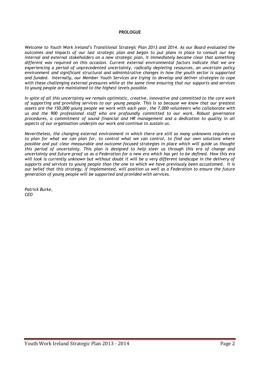#### **PROLOGUE**

*Welcome to Youth Work Ireland's Transitional Strategic Plan 2013 and 2014. As our Board evaluated the outcomes and impacts of our last strategic plan and began to put plans in place to consult our key internal and external stakeholders on a new strategic plan, it immediately became clear that something different was required on this occasion. Current external environmental factors indicate that we are experiencing a period of unprecedented uncertainty, radically depleting resources, an uncertain policy environment and significant structural and administrative changes in how the youth sector is supported and funded. Internally, our Member Youth Services are trying to develop and deliver strategies to cope with these challenging external pressures while at the same time ensuring that our supports and services to young people are maintained to the highest levels possible.*

*In spite of all this uncertainty we remain optimistic, creative, innovative and committed to the core work of supporting and providing services to our young people. This is so because we know that our greatest assets are the 150,000 young people we work with each year, the 7,000 volunteers who collaborate with us and the 900 professional staff who are profoundly committed to our work. Robust governance procedures, a commitment of sound financial and HR management and a dedication to quality in all aspects of our organisation underpin our work and continue to sustain us.*

*Nevertheless, the changing external environment in which there are still so many unknowns requires us to plan for what we can plan for, to control what we can control, to find our own solutions where possible and put clear measurable and outcome-focused strategies in place which will guide us thought this period of uncertainty. This plan is designed to help steer us through this era of change and uncertainty and future-proof us as a Federation for a new era which has yet to be defined. How this era will look is currently unknown but without doubt it will be a very different landscape in the delivery of supports and services to young people than the one to which we have previously been accustomed. It is our belief that this strategy, if implemented, will position us well as a Federation to ensure the future generation of young people will be supported and provided with services.*

*Patrick Burke, CEO*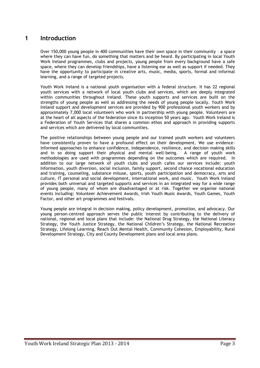## **1 Introduction**

Over 150,000 young people in 400 communities have their own space in their community – a space where they can have fun, do something that matters and be heard. By participating in local Youth Work Ireland programmes, clubs and projects, young people from every background have a safe space, where they can develop friendships, have a listening ear as well as support if needed. They have the opportunity to participate in creative arts, music, media, sports, formal and informal learning, and a range of targeted projects.

Youth Work Ireland is a national youth organisation with a federal structure. It has 22 regional youth services with a network of local youth clubs and services, which are deeply integrated within communities throughout Ireland. These youth supports and services are built on the strengths of young people as well as addressing the needs of young people locally. Youth Work Ireland support and development services are provided by 900 professional youth workers and by approximately 7,000 local volunteers who work in partnership with young people. Volunteers are at the heart of all aspects of the federation since its inception 50 years ago. Youth Work Ireland is a Federation of Youth Services that shares a common ethos and approach in providing supports and services which are delivered by local communities.

The positive relationships between young people and our trained youth workers and volunteers have consistently proven to have a profound effect on their development. We use evidenceinformed approaches to enhance confidence, independence, resilience, and decision making skills and in so doing support their physical and mental well-being. A range of youth work methodologies are used with programmes depending on the outcomes which are required. In addition to our large network of youth clubs and youth cafes our services include: youth Information, youth diversion, social inclusion, family support, second chance vocational education and training, counseling, substance misuse, sports, youth participation and democracy, arts and culture, IT personal and social development, international work, and music. Youth Work Ireland provides both universal and targeted supports and services in an integrated way for a wide range of young people, many of whom are disadvantaged or at risk. Together we organise national events including: Volunteer Achievement Awards, Irish Youth Music Awards, Youth Games, Youth Factor, and other art programmes and festivals.

Young people are integral in decision making, policy development, promotion, and advocacy. Our young person-centred approach serves the public interest by contributing to the delivery of national, regional and local plans that include: the National Drug Strategy, the National Literacy Strategy, the Youth Justice Strategy, the National Children's Strategy, the National Recreation Strategy, Lifelong Learning, Reach Out Mental Health, Community Cohesion, Employability, Rural Development Strategy, City and County Development plans and local area plans.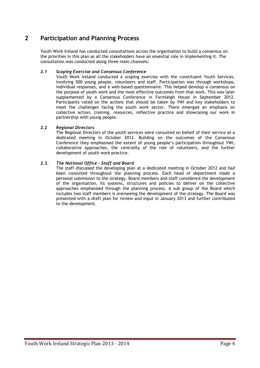# **2 Participation and Planning Process**

Youth Work Ireland has conducted consultations across the organisation to build a consensus on the priorities in this plan as all the stakeholders have an essential role in implementing it. The consultation was conducted along three main channels:

#### *2.1 Scoping Exercise and Consensus Conference*

Youth Work Ireland conducted a scoping exercise with the constituent Youth Services, involving 500 young people, volunteers and staff. Participation was through workshops, individual responses, and a web-based questionnaire. This helped develop a consensus on the purpose of youth work and the most effective outcomes from that work. This was later supplemented by a Consensus Conference in Farmleigh House in September 2012. Participants voted on the actions that should be taken by YWI and key stakeholders to meet the challenges facing the youth work sector. There emerged an emphasis on collective action, training, resources, reflective practice and showcasing our work in partnership with young people.

#### *2.2 Regional Directors*

The Regional Directors of the youth services were consulted on behalf of their service at a dedicated meeting in October 2012. Building on the outcomes of the Consensus Conference they emphasised the extent of young people's participation throughout YWI, collaborative approaches, the centrality of the role of volunteers, and the further development of youth work practice.

#### *2.3. The National Office – Staff and Board*

The staff discussed the developing plan at a dedicated meeting in October 2012 and had been consulted throughout the planning process. Each head of department made a personal submission to the strategy. Board members and staff considered the development of the organisation, its systems, structures and policies to deliver on the collective approaches emphasised through the planning process. A sub group of the Board which includes two staff members is overseeing the development of the strategy. The Board was presented with a draft plan for review and input in January 2013 and further contributed to the development.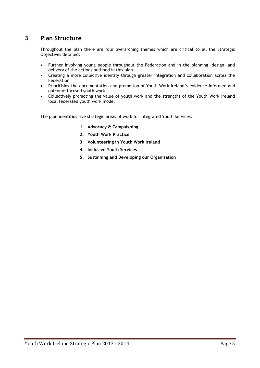# **3 Plan Structure**

Throughout the plan there are four overarching themes which are critical to all the Strategic Objectives detailed:

- Further involving young people throughout the Federation and in the planning, design, and delivery of the actions outlined in this plan
- Creating a more collective identity through greater integration and collaboration across the Federation
- Prioritising the documentation and promotion of Youth Work Ireland's evidence-informed and outcome-focused youth work
- Collectively promoting the value of youth work and the strengths of the Youth Work Ireland local federated youth work model

The plan identifies five strategic areas of work for Integrated Youth Services:

- **1. Advocacy & Campaigning**
- **2. Youth Work Practice**
- **3. Volunteering in Youth Work Ireland**
- **4. Inclusive Youth Services**
- **5. Sustaining and Developing our Organisation**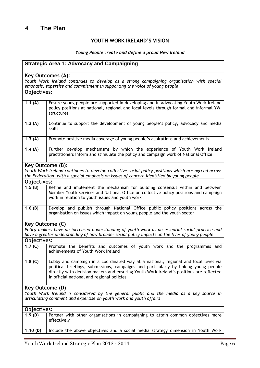## **YOUTH WORK IRELAND'S VISION**

## *Young People create and define a proud New Ireland*

| <b>Strategic Area 1: Advocacy and Campaigning</b>                                                                                                             |                                                                                                                                                                                                                                                                                                                      |
|---------------------------------------------------------------------------------------------------------------------------------------------------------------|----------------------------------------------------------------------------------------------------------------------------------------------------------------------------------------------------------------------------------------------------------------------------------------------------------------------|
|                                                                                                                                                               | <b>Key Outcomes (A):</b>                                                                                                                                                                                                                                                                                             |
|                                                                                                                                                               | Youth Work Ireland continues to develop as a strong campaigning organisation with special<br>emphasis, expertise and commitment in supporting the voice of young people                                                                                                                                              |
| Objectives:                                                                                                                                                   |                                                                                                                                                                                                                                                                                                                      |
| 1.1(A)                                                                                                                                                        | Ensure young people are supported in developing and in advocating Youth Work Ireland<br>policy positions at national, regional and local levels through formal and informal YWI<br>structures                                                                                                                        |
| 1.2(A)                                                                                                                                                        | Continue to support the development of young people's policy, advocacy and media<br>skills                                                                                                                                                                                                                           |
| 1.3(A)                                                                                                                                                        | Promote positive media coverage of young people's aspirations and achievements                                                                                                                                                                                                                                       |
| 1.4(A)                                                                                                                                                        | Further develop mechanisms by which the experience of Youth Work Ireland<br>practitioners inform and stimulate the policy and campaign work of National Office                                                                                                                                                       |
| Key Outcome (B):                                                                                                                                              |                                                                                                                                                                                                                                                                                                                      |
|                                                                                                                                                               | Youth Work Ireland continues to develop collective social policy positions which are agreed across<br>the Federation, with a special emphasis on issues of concern identified by young people                                                                                                                        |
| Objectives:                                                                                                                                                   |                                                                                                                                                                                                                                                                                                                      |
| $1.\overline{5(8)}$                                                                                                                                           | Refine and implement the mechanism for building consensus within and between<br>Member Youth Services and National Office on collective policy positions and campaign<br>work in relation to youth issues and youth work                                                                                             |
| 1.6 $(B)$                                                                                                                                                     | Develop and publish through National Office public policy positions across the<br>organisation on issues which impact on young people and the youth sector                                                                                                                                                           |
| Key Outcome (C)                                                                                                                                               |                                                                                                                                                                                                                                                                                                                      |
|                                                                                                                                                               | Policy makers have an increased understanding of youth work as an essential social practice and<br>have a greater understanding of how broader social policy impacts on the lives of young people                                                                                                                    |
| Objectives:                                                                                                                                                   |                                                                                                                                                                                                                                                                                                                      |
| 1.7 <sup>(C)</sup>                                                                                                                                            | Promote the benefits and outcomes of youth work and the programmes and<br>achievements of Youth Work Ireland                                                                                                                                                                                                         |
| 1.8 $(C)$                                                                                                                                                     | Lobby and campaign in a coordinated way at a national, regional and local level via<br>political briefings, submissions, campaigns and particularly by linking young people<br>directly with decision makers and ensuring Youth Work Ireland's positions are reflected<br>in official national and regional policies |
| <b>Key Outcome (D)</b>                                                                                                                                        |                                                                                                                                                                                                                                                                                                                      |
| Youth Work Ireland is considered by the general public and the media as a key source in<br>articulating comment and expertise on youth work and youth affairs |                                                                                                                                                                                                                                                                                                                      |
| Objectives:                                                                                                                                                   |                                                                                                                                                                                                                                                                                                                      |
| $\overline{1.9}$ (D)                                                                                                                                          | Partner with other organisations in campaigning to attain common objectives more<br>effectively                                                                                                                                                                                                                      |
| 1.10(D)                                                                                                                                                       | Include the above objectives and a social media strategy dimension in Youth Work                                                                                                                                                                                                                                     |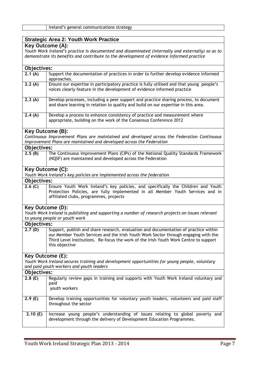#### Ireland's general communications strategy

### **Strategic Area 2: Youth Work Practice**

## **Key Outcome (A):**

*Youth Work Ireland's practice is documented and disseminated (internally and externally) so as to demonstrate its benefits and contribute to the development of evidence informed practice* 

| Objectives:             |                                                                                                  |
|-------------------------|--------------------------------------------------------------------------------------------------|
| 2.1(A)                  | Support the documentation of practices in order to further develop evidence informed             |
|                         | approaches.                                                                                      |
| 2.2(A)                  | Ensure our expertise in participatory practice is fully utilised and that young people's         |
|                         | voices clearly feature in the development of evidence informed practice                          |
|                         |                                                                                                  |
| 2.3(A)                  | Develop processes, including a peer support and practice sharing process, to document            |
|                         | and share learning in relation to quality and build on our expertise in this area.               |
|                         |                                                                                                  |
| 2.4(A)                  | Develop a process to enhance consistency of practice and measurement where                       |
|                         | appropriate, building on the work of the Consensus Conference 2012                               |
|                         |                                                                                                  |
| <b>Key Outcome (B):</b> |                                                                                                  |
|                         | Continuous Improvement Plans are maintained and developed across the Federation Continuous       |
|                         | Improvement Plans are maintained and developed across the Federation                             |
| Objectives:             |                                                                                                  |
| 2.5(B)                  | The Continuous Improvement Plans (CIPs) of the National Quality Standards Framework              |
|                         | (NQSF) are maintained and developed across the Federation                                        |
|                         |                                                                                                  |
|                         | <b>Key Outcome (C):</b>                                                                          |
|                         | Youth Work Ireland's key policies are implemented across the federation                          |
| Objectives:             |                                                                                                  |
| 2.6(G)                  | Ensure Youth Work Ireland's key policies, and specifically the Children and Youth                |
|                         | Protection Policies, are fully implemented in all Member Youth Services and in                   |
|                         | affiliated clubs, programmes, projects                                                           |
|                         |                                                                                                  |
| Key Outcome (D):        |                                                                                                  |
|                         | Youth Work Ireland is publishing and supporting a number of research projects on issues relevant |
|                         | to young people or youth work                                                                    |
| Objectives:             |                                                                                                  |
| 2.7(D)                  | Support, publish and share research, evaluation and documentation of practice within             |
|                         | our Member Youth Services and the Irish Youth Work Sector through engaging with the              |
|                         | Third Level Institutions. Re-focus the work of the Irish Youth Work Centre to support            |
|                         | this objective                                                                                   |
|                         |                                                                                                  |
| Key Outcome (E):        |                                                                                                  |
|                         | Youth Work Ireland secures training and development opportunities for young people, voluntary    |
|                         | and paid youth workers and youth leaders                                                         |
|                         |                                                                                                  |
| Objectives:             |                                                                                                  |
| 2.8(E)                  | Regularly review gaps in training and supports with Youth Work Ireland voluntary and             |
|                         | paid<br>youth workers                                                                            |
|                         |                                                                                                  |
| 2.9(E)                  | Develop training opportunities for voluntary youth leaders, volunteers and paid staff            |
|                         | throughout the sector                                                                            |
|                         |                                                                                                  |
| 2.10(E)                 | Increase young people's understanding of issues relating to global poverty and                   |
|                         | development through the delivery of Development Education Programmes.                            |
|                         |                                                                                                  |
|                         |                                                                                                  |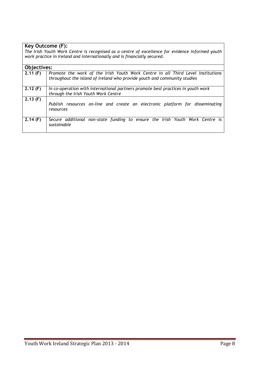| Key Outcome (F):                                                                                |                                                                                  |
|-------------------------------------------------------------------------------------------------|----------------------------------------------------------------------------------|
| The Irish Youth Work Centre is recognised as a centre of excellence for evidence informed youth |                                                                                  |
| work practice in Ireland and internationally and is financially secured.                        |                                                                                  |
|                                                                                                 |                                                                                  |
| Objectives:                                                                                     |                                                                                  |
| 2.11(F)                                                                                         | Promote the work of the Irish Youth Work Centre in all Third Level Institutions  |
|                                                                                                 | throughout the island of Ireland who provide youth and community studies         |
|                                                                                                 |                                                                                  |
| 2.12(F)                                                                                         | In co-operation with international partners promote best practices in youth work |
|                                                                                                 | through the Irish Youth Work Centre                                              |
| $\overline{2.}13$ (F)                                                                           |                                                                                  |
|                                                                                                 | Publish resources on-line and create an electronic platform for disseminating    |
|                                                                                                 | resources                                                                        |
|                                                                                                 |                                                                                  |
| 2.14(F)                                                                                         | Secure additional non-state funding to ensure the Irish Youth Work Centre is     |
|                                                                                                 | sustainable                                                                      |
|                                                                                                 |                                                                                  |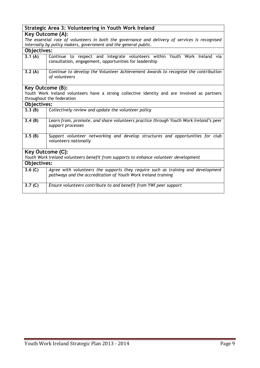# **Strategic Area 3: Volunteering in Youth Work Ireland**

**Key Outcome (A):**

|             | The essential role of volunteers in both the governance and delivery of services is recognised<br>internally by policy makers, government and the general public. |
|-------------|-------------------------------------------------------------------------------------------------------------------------------------------------------------------|
| Objectives: |                                                                                                                                                                   |
| 3.1(A)      | Continue to respect and integrate volunteers within Youth Work Ireland via<br>consultation, engagement, opportunities for leadership                              |

| 3.2(A) | Continue to develop the Volunteer Achievement Awards to recognise the contribution |
|--------|------------------------------------------------------------------------------------|
|        | of volunteers                                                                      |

#### **Key Outcome (B):**

Youth Work Ireland volunteers have a strong collective identity and are involved as partners throughout the federation

| Objectives:                                                                          |                                                                                                                                                   |
|--------------------------------------------------------------------------------------|---------------------------------------------------------------------------------------------------------------------------------------------------|
| 3.3(B)                                                                               | Collectively review and update the volunteer policy                                                                                               |
| 3.4(B)                                                                               | Learn from, promote, and share volunteers practice through Youth Work Ireland's peer<br>support processes                                         |
| 3.5(B)                                                                               | Support volunteer networking and develop structures and opportunities for club<br>volunteers nationally                                           |
| Key Outcome (C):                                                                     |                                                                                                                                                   |
| Youth Work Ireland volunteers benefit from supports to enhance volunteer development |                                                                                                                                                   |
| Objectives:                                                                          |                                                                                                                                                   |
| 3.6 $(C)$                                                                            | Agree with volunteers the supports they require such as training and development<br>pathways and the accreditation of Youth Work Ireland training |
| 3.7 <sub>(C)</sub>                                                                   | Ensure volunteers contribute to and benefit from YWI peer support                                                                                 |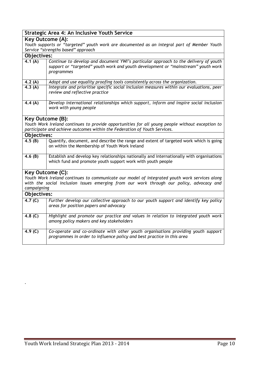|                                                                                                                                                                                                          | Strategic Area 4: An Inclusive Youth Service                                                                                                                                           |
|----------------------------------------------------------------------------------------------------------------------------------------------------------------------------------------------------------|----------------------------------------------------------------------------------------------------------------------------------------------------------------------------------------|
| <b>Key Outcome (A):</b>                                                                                                                                                                                  |                                                                                                                                                                                        |
|                                                                                                                                                                                                          | Youth supports or "targeted" youth work are documented as an integral part of Member Youth                                                                                             |
|                                                                                                                                                                                                          | Service "strengths based" approach                                                                                                                                                     |
| Objectives:                                                                                                                                                                                              |                                                                                                                                                                                        |
| 4.1(A)                                                                                                                                                                                                   | Continue to develop and document YWI's particular approach to the delivery of youth<br>support or "targeted" youth work and youth development or "mainstream" youth work<br>programmes |
| 4.2(A)                                                                                                                                                                                                   | Adopt and use equality proofing tools consistently across the organization.                                                                                                            |
| 4.3(A)                                                                                                                                                                                                   | Integrate and prioritise specific social inclusion measures within our evaluations, peer<br>review and reflective practice                                                             |
| 4.4(A)                                                                                                                                                                                                   | Develop international relationships which support, inform and inspire social inclusion<br>work with young people                                                                       |
|                                                                                                                                                                                                          | <b>Key Outcome (B):</b>                                                                                                                                                                |
|                                                                                                                                                                                                          | Youth Work Ireland continues to provide opportunities for all young people without exception to<br>participate and achieve outcomes within the Federation of Youth Services.           |
| Objectives:                                                                                                                                                                                              |                                                                                                                                                                                        |
| 4.5(B)                                                                                                                                                                                                   | Quantify, document, and describe the range and extent of targeted work which is going<br>on within the Membership of Youth Work Ireland                                                |
| 4.6 $(B)$                                                                                                                                                                                                | Establish and develop key relationships nationally and internationally with organisations<br>which fund and promote youth support work with youth people                               |
|                                                                                                                                                                                                          | Key Outcome (C):                                                                                                                                                                       |
| Youth Work Ireland continues to communicate our model of integrated youth work services along<br>with the social inclusion issues emerging from our work through our policy, advocacy and<br>campaigning |                                                                                                                                                                                        |
| Objectives:                                                                                                                                                                                              |                                                                                                                                                                                        |
| 4.7 <sup>(C)</sup>                                                                                                                                                                                       | Further develop our collective approach to our youth support and identify key policy<br>areas for position papers and advocacy                                                         |
| 4.8 $(C)$                                                                                                                                                                                                | Highlight and promote our practice and values in relation to integrated youth work<br>among policy makers and key stakeholders                                                         |
| 4.9 $(C)$                                                                                                                                                                                                | Co-operate and co-ordinate with other youth organisations providing youth support<br>programmes in order to influence policy and best practice in this area                            |

*.*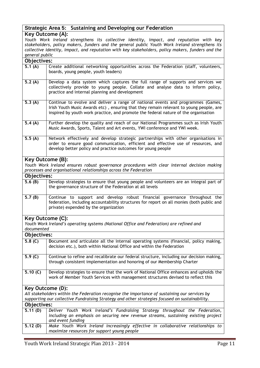## **Strategic Area 5: Sustaining and Developing our Federation**

#### **Key Outcome (A):**

*Youth Work Ireland strengthens its collective identity, impact, and reputation with key stakeholders, policy makers, funders and the general public Youth Work Ireland strengthens its collective identity, impact, and reputation with key stakeholders, policy makers, funders and the general public*

| Objectives:             |                                                                                                                                                                                                                                                                   |
|-------------------------|-------------------------------------------------------------------------------------------------------------------------------------------------------------------------------------------------------------------------------------------------------------------|
| 5.1(A)                  | Create additional networking opportunities across the Federation (staff, volunteers,<br>boards, young people, youth leaders)                                                                                                                                      |
| 5.2(A)                  | Develop a data system which captures the full range of supports and services we<br>collectively provide to young people. Collate and analyse data to inform policy,<br>practice and internal planning and development                                             |
| 5.3(A)                  | Continue to evolve and deliver a range of national events and programmes (Games,<br>Irish Youth Music Awards etc), ensuring that they remain relevant to young people, are<br>inspired by youth work practice, and promote the federal nature of the organisation |
| 5.4 $(A)$               | Further develop the quality and reach of our National Programmes such as Irish Youth<br>Music Awards, Sports, Talent and Art events, YWI conference and YWI week.                                                                                                 |
| 5.5(A)                  | Network effectively and develop strategic partnerships with other organisations in<br>order to ensure good communication, efficient and effective use of resources, and<br>develop better policy and practice outcomes for young people                           |
| <b>Key Outcome (B):</b> |                                                                                                                                                                                                                                                                   |
|                         | Youth Work Ireland ensures robust governance procedures with clear internal decision making                                                                                                                                                                       |
|                         | processes and organisational relationships across the Federation                                                                                                                                                                                                  |
| Objectives:             |                                                                                                                                                                                                                                                                   |
| 5.6(B)                  | Develop strategies to ensure that young people and volunteers are an integral part of<br>the governance structure of the Federation at all levels                                                                                                                 |
| 5.7(B)                  | Continue to support and develop robust financial governance throughout the<br>federation, including accountability structures for report on all monies (both public and<br>private) expended by the organization                                                  |
| Key Outcome (C):        |                                                                                                                                                                                                                                                                   |
| documented              | Youth Work Ireland's operating systems (National Office and Federation) are refined and                                                                                                                                                                           |
| Objectives:             |                                                                                                                                                                                                                                                                   |
| 5.8 <sub>(C)</sub>      | Document and articulate all the internal operating systems (financial, policy making,<br>decision etc.), both within National Office and within the Federation                                                                                                    |
| 5.9(C)                  | Continue to refine and recalibrate our federal structure, including our decision making,<br>through consistent implementation and honoring of our Membership Charter                                                                                              |
| 5.10 $(C)$              | Develop strategies to ensure that the work of National Office enhances and upholds the<br>work of Member Youth Services with management structures devised to reflect this                                                                                        |
| Key Outcome (D):        |                                                                                                                                                                                                                                                                   |
|                         | All stakeholders within the Federation recognise the importance of sustaining our services by                                                                                                                                                                     |
|                         | supporting our collective Fundraising Strategy and other strategies focused on sustainability.                                                                                                                                                                    |
| Objectives:             |                                                                                                                                                                                                                                                                   |
| 5.11(D)                 | Deliver Youth Work Ireland's Fundraising Strategy throughout the Federation,                                                                                                                                                                                      |
|                         | including an emphasis on securing new revenue streams, sustaining existing project<br>and event funding                                                                                                                                                           |
| 5.12(D)                 | Make Youth Work Ireland increasingly effective in collaborative relationships to<br>maximize resources for support young people                                                                                                                                   |